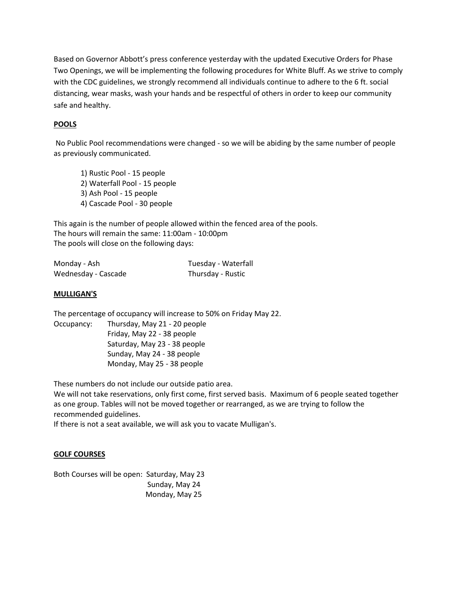Based on Governor Abbott's press conference yesterday with the updated Executive Orders for Phase Two Openings, we will be implementing the following procedures for White Bluff. As we strive to comply with the CDC guidelines, we strongly recommend all individuals continue to adhere to the 6 ft. social distancing, wear masks, wash your hands and be respectful of others in order to keep our community safe and healthy.

# **POOLS**

No Public Pool recommendations were changed - so we will be abiding by the same number of people as previously communicated.

1) Rustic Pool - 15 people 2) Waterfall Pool - 15 people 3) Ash Pool - 15 people 4) Cascade Pool - 30 people

This again is the number of people allowed within the fenced area of the pools. The hours will remain the same: 11:00am - 10:00pm The pools will close on the following days:

| Monday - Ash        | Tuesday - Waterfall |
|---------------------|---------------------|
| Wednesday - Cascade | Thursday - Rustic   |

## **MULLIGAN'S**

The percentage of occupancy will increase to 50% on Friday May 22. Occupancy: Thursday, May 21 - 20 people

Friday, May 22 - 38 people Saturday, May 23 - 38 people Sunday, May 24 - 38 people Monday, May 25 - 38 people

These numbers do not include our outside patio area.

We will not take reservations, only first come, first served basis. Maximum of 6 people seated together as one group. Tables will not be moved together or rearranged, as we are trying to follow the recommended guidelines.

If there is not a seat available, we will ask you to vacate Mulligan's.

#### **GOLF COURSES**

Both Courses will be open: Saturday, May 23 Sunday, May 24 Monday, May 25